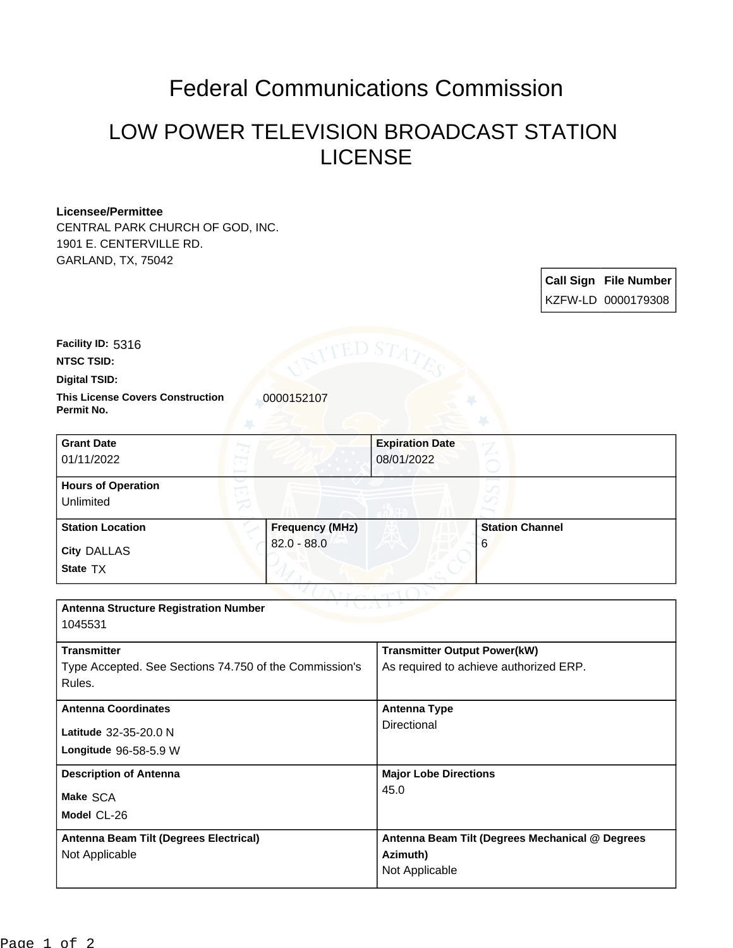## Federal Communications Commission

## LOW POWER TELEVISION BROADCAST STATION LICENSE

## **Licensee/Permittee**

CENTRAL PARK CHURCH OF GOD, INC. 1901 E. CENTERVILLE RD. GARLAND, TX, 75042

> **Call Sign File Number** KZFW-LD 0000179308

**Facility ID:** 5316

**NTSC TSID:**

**Digital TSID:**

**This License Covers Construction**  0000152107 **Permit No.**

| <b>Grant Date</b><br>01/11/2022        |                        | <b>Expiration Date</b><br>08/01/2022 |                        |
|----------------------------------------|------------------------|--------------------------------------|------------------------|
| <b>Hours of Operation</b><br>Unlimited |                        |                                      |                        |
| <b>Station Location</b>                | <b>Frequency (MHz)</b> |                                      | <b>Station Channel</b> |
| <b>City DALLAS</b><br>State TX         | $82.0 - 88.0$          |                                      | 6                      |

| <b>Antenna Structure Registration Number</b><br>1045531                                |                                                                               |  |  |  |
|----------------------------------------------------------------------------------------|-------------------------------------------------------------------------------|--|--|--|
| <b>Transmitter</b><br>Type Accepted. See Sections 74.750 of the Commission's<br>Rules. | <b>Transmitter Output Power(kW)</b><br>As required to achieve authorized ERP. |  |  |  |
| <b>Antenna Coordinates</b><br>Latitude 32-35-20.0 N<br><b>Longitude 96-58-5.9 W</b>    | Antenna Type<br>Directional                                                   |  |  |  |
| <b>Description of Antenna</b><br>Make SCA<br>Model CL-26                               | <b>Major Lobe Directions</b><br>45.0                                          |  |  |  |
| Antenna Beam Tilt (Degrees Electrical)<br>Not Applicable                               | Antenna Beam Tilt (Degrees Mechanical @ Degrees<br>Azimuth)<br>Not Applicable |  |  |  |